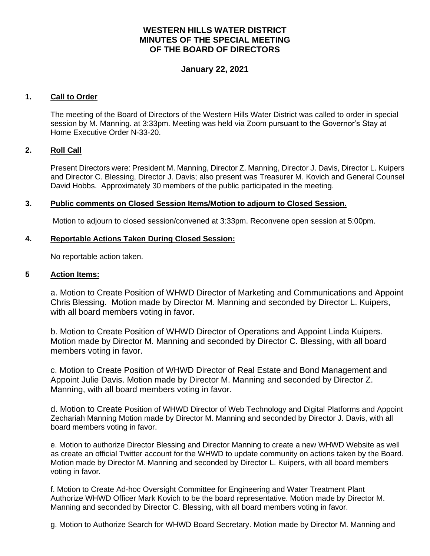# **WESTERN HILLS WATER DISTRICT MINUTES OF THE SPECIAL MEETING OF THE BOARD OF DIRECTORS**

## **January 22, 2021**

### **1. Call to Order**

The meeting of the Board of Directors of the Western Hills Water District was called to order in special session by M. Manning. at 3:33pm. Meeting was held via Zoom pursuant to the Governor's Stay at Home Executive Order N-33-20.

#### **2. Roll Call**

Present Directors were: President M. Manning, Director Z. Manning, Director J. Davis, Director L. Kuipers and Director C. Blessing, Director J. Davis; also present was Treasurer M. Kovich and General Counsel David Hobbs. Approximately 30 members of the public participated in the meeting.

#### **3. Public comments on Closed Session Items/Motion to adjourn to Closed Session.**

Motion to adjourn to closed session/convened at 3:33pm. Reconvene open session at 5:00pm.

#### **4. Reportable Actions Taken During Closed Session:**

No reportable action taken.

### **5 Action Items:**

a. Motion to Create Position of WHWD Director of Marketing and Communications and Appoint Chris Blessing. Motion made by Director M. Manning and seconded by Director L. Kuipers, with all board members voting in favor.

b. Motion to Create Position of WHWD Director of Operations and Appoint Linda Kuipers. Motion made by Director M. Manning and seconded by Director C. Blessing, with all board members voting in favor.

c. Motion to Create Position of WHWD Director of Real Estate and Bond Management and Appoint Julie Davis. Motion made by Director M. Manning and seconded by Director Z. Manning, with all board members voting in favor.

d. Motion to Create Position of WHWD Director of Web Technology and Digital Platforms and Appoint Zechariah Manning Motion made by Director M. Manning and seconded by Director J. Davis, with all board members voting in favor.

e. Motion to authorize Director Blessing and Director Manning to create a new WHWD Website as well as create an official Twitter account for the WHWD to update community on actions taken by the Board. Motion made by Director M. Manning and seconded by Director L. Kuipers, with all board members voting in favor.

f. Motion to Create Ad-hoc Oversight Committee for Engineering and Water Treatment Plant Authorize WHWD Officer Mark Kovich to be the board representative. Motion made by Director M. Manning and seconded by Director C. Blessing, with all board members voting in favor.

g. Motion to Authorize Search for WHWD Board Secretary. Motion made by Director M. Manning and